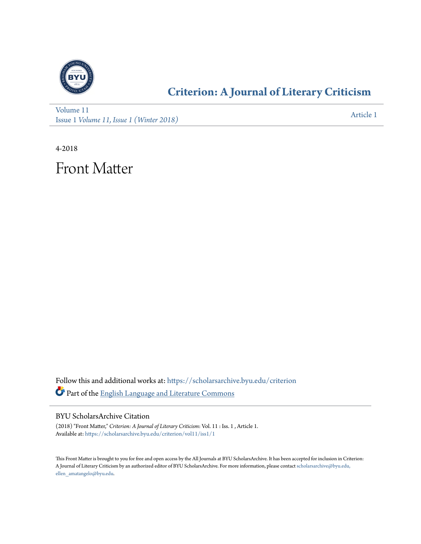

### **[Criterion: A Journal of Literary Criticism](https://scholarsarchive.byu.edu/criterion?utm_source=scholarsarchive.byu.edu%2Fcriterion%2Fvol11%2Fiss1%2F1&utm_medium=PDF&utm_campaign=PDFCoverPages)**

[Volume 11](https://scholarsarchive.byu.edu/criterion/vol11?utm_source=scholarsarchive.byu.edu%2Fcriterion%2Fvol11%2Fiss1%2F1&utm_medium=PDF&utm_campaign=PDFCoverPages) Issue 1 *[Volume 11, Issue 1 \(Winter 2018\)](https://scholarsarchive.byu.edu/criterion/vol11/iss1?utm_source=scholarsarchive.byu.edu%2Fcriterion%2Fvol11%2Fiss1%2F1&utm_medium=PDF&utm_campaign=PDFCoverPages)* [Article 1](https://scholarsarchive.byu.edu/criterion/vol11/iss1/1?utm_source=scholarsarchive.byu.edu%2Fcriterion%2Fvol11%2Fiss1%2F1&utm_medium=PDF&utm_campaign=PDFCoverPages)

4-2018

Front Matter

Follow this and additional works at: [https://scholarsarchive.byu.edu/criterion](https://scholarsarchive.byu.edu/criterion?utm_source=scholarsarchive.byu.edu%2Fcriterion%2Fvol11%2Fiss1%2F1&utm_medium=PDF&utm_campaign=PDFCoverPages) Part of the [English Language and Literature Commons](http://network.bepress.com/hgg/discipline/455?utm_source=scholarsarchive.byu.edu%2Fcriterion%2Fvol11%2Fiss1%2F1&utm_medium=PDF&utm_campaign=PDFCoverPages)

BYU ScholarsArchive Citation

(2018) "Front Matter," *Criterion: A Journal of Literary Criticism*: Vol. 11 : Iss. 1 , Article 1. Available at: [https://scholarsarchive.byu.edu/criterion/vol11/iss1/1](https://scholarsarchive.byu.edu/criterion/vol11/iss1/1?utm_source=scholarsarchive.byu.edu%2Fcriterion%2Fvol11%2Fiss1%2F1&utm_medium=PDF&utm_campaign=PDFCoverPages)

This Front Matter is brought to you for free and open access by the All Journals at BYU ScholarsArchive. It has been accepted for inclusion in Criterion: A Journal of Literary Criticism by an authorized editor of BYU ScholarsArchive. For more information, please contact [scholarsarchive@byu.edu,](mailto:scholarsarchive@byu.edu,%20ellen_amatangelo@byu.edu) [ellen\\_amatangelo@byu.edu.](mailto:scholarsarchive@byu.edu,%20ellen_amatangelo@byu.edu)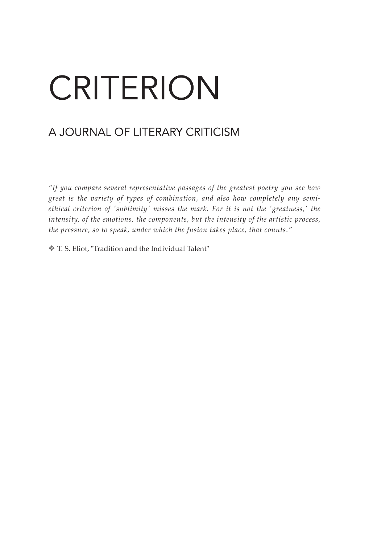## CRITERION

### A JOURNAL OF LITERARY CRITICISM

*"If you compare several representative passages of the greatest poetry you see how great is the variety of types of combination, and also how completely any semiethical criterion of 'sublimity' misses the mark. For it is not the 'greatness,' the intensity, of the emotions, the components, but the intensity of the artistic process, the pressure, so to speak, under which the fusion takes place, that counts."*

v T. S. Eliot, "Tradition and the Individual Talent"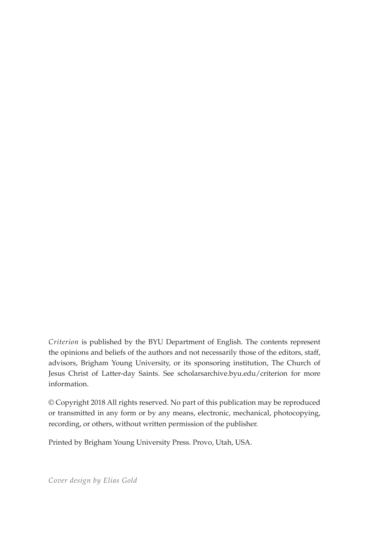*Criterion* is published by the BYU Department of English. The contents represent the opinions and beliefs of the authors and not necessarily those of the editors, staff, advisors, Brigham Young University, or its sponsoring institution, The Church of Jesus Christ of Latter-day Saints. See scholarsarchive.byu.edu/criterion for more information.

© Copyright 2018 All rights reserved. No part of this publication may be reproduced or transmitted in any form or by any means, electronic, mechanical, photocopying, recording, or others, without written permission of the publisher.

Printed by Brigham Young University Press. Provo, Utah, USA.

*Cover design by Elias Gold*